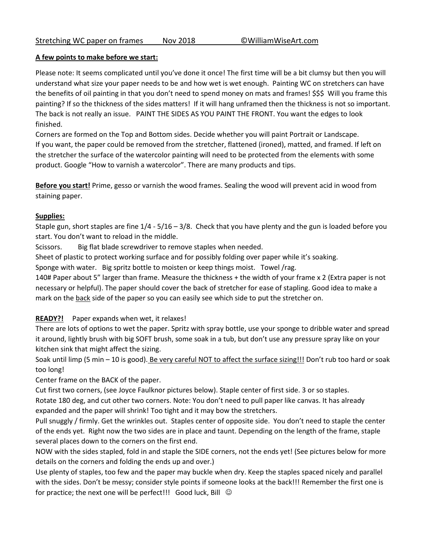## **A few points to make before we start:**

Please note: It seems complicated until you've done it once! The first time will be a bit clumsy but then you will understand what size your paper needs to be and how wet is wet enough. Painting WC on stretchers can have the benefits of oil painting in that you don't need to spend money on mats and frames! \$\$\$ Will you frame this painting? If so the thickness of the sides matters! If it will hang unframed then the thickness is not so important. The back is not really an issue. PAINT THE SIDES AS YOU PAINT THE FRONT. You want the edges to look finished.

Corners are formed on the Top and Bottom sides. Decide whether you will paint Portrait or Landscape. If you want, the paper could be removed from the stretcher, flattened (ironed), matted, and framed. If left on the stretcher the surface of the watercolor painting will need to be protected from the elements with some product. Google "How to varnish a watercolor". There are many products and tips.

**Before you start!** Prime, gesso or varnish the wood frames. Sealing the wood will prevent acid in wood from staining paper.

## **Supplies:**

Staple gun, short staples are fine  $1/4 - 5/16 - 3/8$ . Check that you have plenty and the gun is loaded before you start. You don't want to reload in the middle.

Scissors. Big flat blade screwdriver to remove staples when needed.

Sheet of plastic to protect working surface and for possibly folding over paper while it's soaking.

Sponge with water. Big spritz bottle to moisten or keep things moist. Towel /rag.

140# Paper about 5" larger than frame. Measure the thickness + the width of your frame x 2 (Extra paper is not necessary or helpful). The paper should cover the back of stretcher for ease of stapling. Good idea to make a mark on the **back** side of the paper so you can easily see which side to put the stretcher on.

**READY?!** Paper expands when wet, it relaxes!

There are lots of options to wet the paper. Spritz with spray bottle, use your sponge to dribble water and spread it around, lightly brush with big SOFT brush, some soak in a tub, but don't use any pressure spray like on your kitchen sink that might affect the sizing.

Soak until limp (5 min – 10 is good). Be very careful NOT to affect the surface sizing!!! Don't rub too hard or soak too long!

Center frame on the BACK of the paper.

Cut first two corners, (see Joyce Faulknor pictures below). Staple center of first side. 3 or so staples.

Rotate 180 deg, and cut other two corners. Note: You don't need to pull paper like canvas. It has already expanded and the paper will shrink! Too tight and it may bow the stretchers.

Pull snuggly / firmly. Get the wrinkles out. Staples center of opposite side. You don't need to staple the center of the ends yet. Right now the two sides are in place and taunt. Depending on the length of the frame, staple several places down to the corners on the first end.

NOW with the sides stapled, fold in and staple the SIDE corners, not the ends yet! (See pictures below for more details on the corners and folding the ends up and over.)

Use plenty of staples, too few and the paper may buckle when dry. Keep the staples spaced nicely and parallel with the sides. Don't be messy; consider style points if someone looks at the back!!! Remember the first one is for practice; the next one will be perfect!!! Good luck, Bill  $\odot$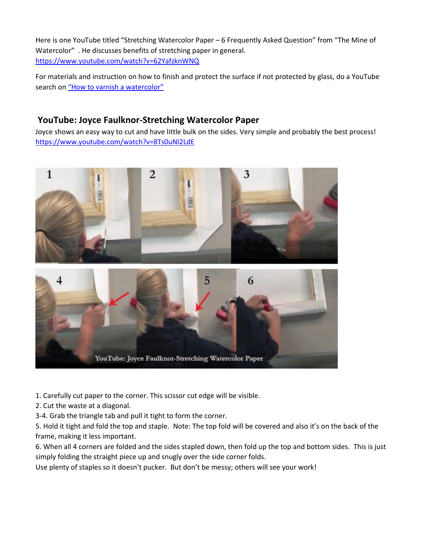Here is one YouTube titled "Stretching Watercolor Paper – 6 Frequently Asked Question" from "The Mine of Watercolor" . He discusses benefits of stretching paper in general. <https://www.youtube.com/watch?v=62YafzknWNQ>

For materials and instruction on how to finish and protect the surface if not protected by glass, do a YouTube search on "[How to varnish a watercolor](https://www.youtube.com/results?search_query=How+to+varnish+a+watercolor)"

## **YouTube: Joyce Faulknor-Stretching Watercolor Paper**

Joyce shows an easy way to cut and have little bulk on the sides. Very simple and probably the best process! <https://www.youtube.com/watch?v=8Ts0uNI2LdE>





- 1. Carefully cut paper to the corner. This scissor cut edge will be visible.
- 2. Cut the waste at a diagonal.
- 3-4. Grab the triangle tab and pull it tight to form the corner.

5. Hold it tight and fold the top and staple. Note: The top fold will be covered and also it's on the back of the frame, making it less important.

6. When all 4 corners are folded and the sides stapled down, then fold up the top and bottom sides. This is just simply folding the straight piece up and snugly over the side corner folds.

Use plenty of staples so it doesn't pucker. But don't be messy; others will see your work!